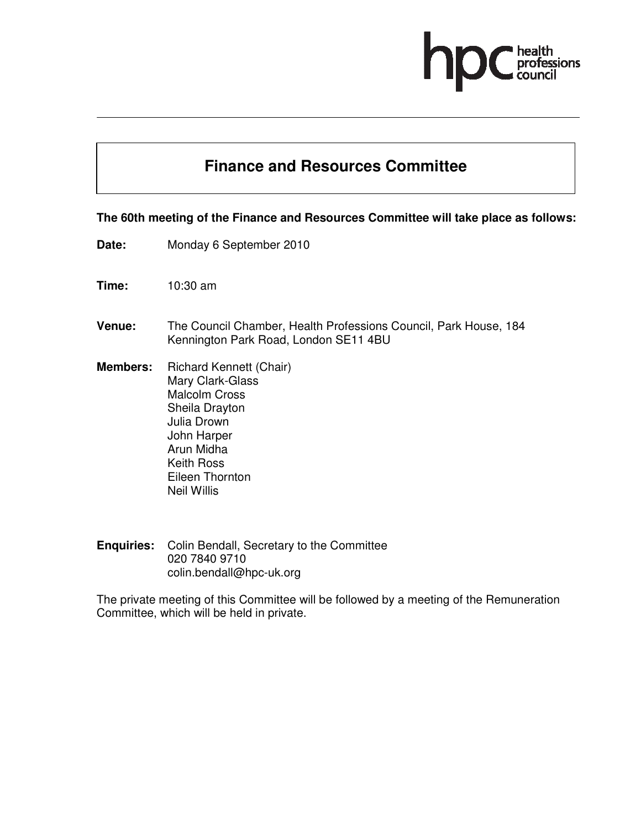# ofessions

## **Finance and Resources Committee**

#### **The 60th meeting of the Finance and Resources Committee will take place as follows:**

- **Date:** Monday 6 September 2010
- **Time:** 10:30 am
- **Venue:** The Council Chamber, Health Professions Council, Park House, 184 Kennington Park Road, London SE11 4BU
- **Members:** Richard Kennett (Chair) Mary Clark-Glass Malcolm Cross Sheila Drayton Julia Drown John Harper Arun Midha Keith Ross Eileen Thornton Neil Willis
- **Enquiries:** Colin Bendall, Secretary to the Committee 020 7840 9710 colin.bendall@hpc-uk.org

The private meeting of this Committee will be followed by a meeting of the Remuneration Committee, which will be held in private.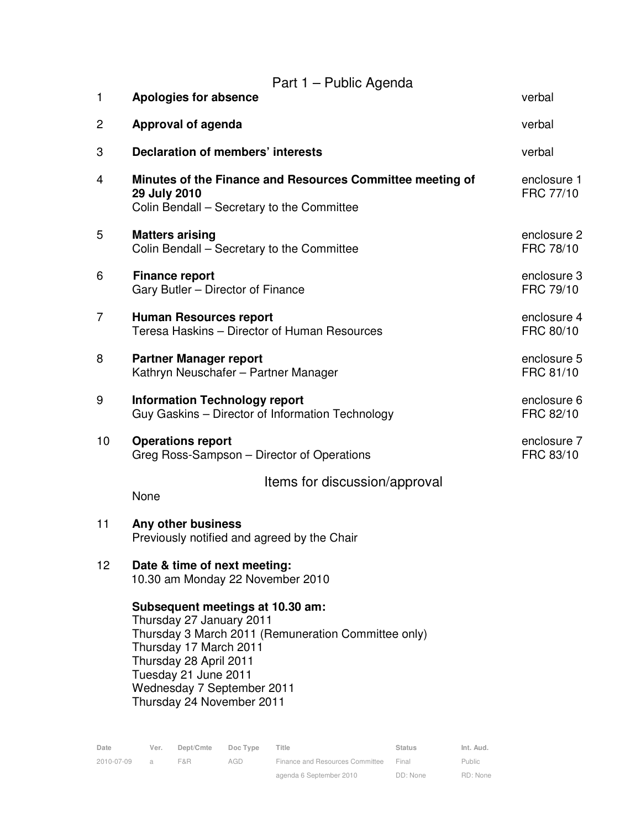|                 | Part 1 – Public Agenda                                                                                                                                                                                                                                     |                          |
|-----------------|------------------------------------------------------------------------------------------------------------------------------------------------------------------------------------------------------------------------------------------------------------|--------------------------|
| $\mathbf{1}$    | Apologies for absence                                                                                                                                                                                                                                      | verbal                   |
| 2               | Approval of agenda                                                                                                                                                                                                                                         | verbal                   |
| 3               | <b>Declaration of members' interests</b>                                                                                                                                                                                                                   | verbal                   |
| 4               | Minutes of the Finance and Resources Committee meeting of<br>29 July 2010<br>Colin Bendall - Secretary to the Committee                                                                                                                                    | enclosure 1<br>FRC 77/10 |
| 5               | <b>Matters arising</b><br>Colin Bendall – Secretary to the Committee                                                                                                                                                                                       | enclosure 2<br>FRC 78/10 |
| 6               | <b>Finance report</b><br>Gary Butler - Director of Finance                                                                                                                                                                                                 | enclosure 3<br>FRC 79/10 |
| $\overline{7}$  | <b>Human Resources report</b><br>Teresa Haskins - Director of Human Resources                                                                                                                                                                              | enclosure 4<br>FRC 80/10 |
| 8               | <b>Partner Manager report</b><br>Kathryn Neuschafer - Partner Manager                                                                                                                                                                                      | enclosure 5<br>FRC 81/10 |
| 9               | <b>Information Technology report</b><br>Guy Gaskins - Director of Information Technology                                                                                                                                                                   | enclosure 6<br>FRC 82/10 |
| 10              | <b>Operations report</b><br>Greg Ross-Sampson - Director of Operations                                                                                                                                                                                     | enclosure 7<br>FRC 83/10 |
|                 | Items for discussion/approval<br>None                                                                                                                                                                                                                      |                          |
| 11              | Any other business<br>Previously notified and agreed by the Chair                                                                                                                                                                                          |                          |
| 12 <sub>2</sub> | Date & time of next meeting:<br>10.30 am Monday 22 November 2010                                                                                                                                                                                           |                          |
|                 | Subsequent meetings at 10.30 am:<br>Thursday 27 January 2011<br>Thursday 3 March 2011 (Remuneration Committee only)<br>Thursday 17 March 2011<br>Thursday 28 April 2011<br>Tuesday 21 June 2011<br>Wednesday 7 September 2011<br>Thursday 24 November 2011 |                          |